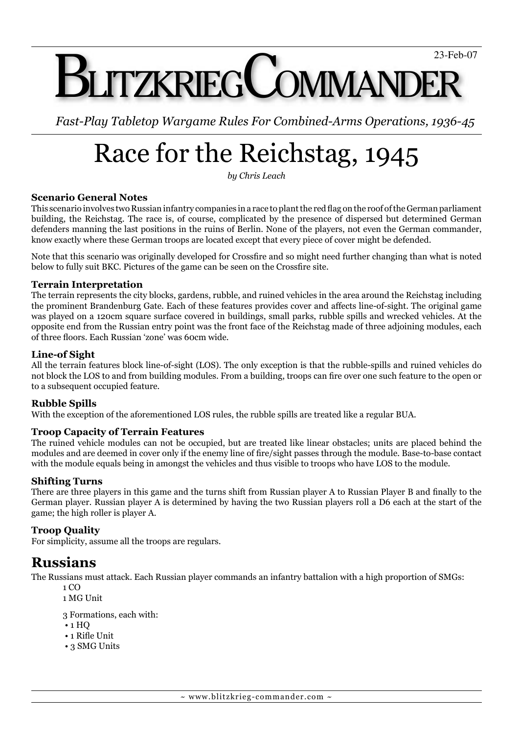# **LITZKRIEGCOMMANDE**

*Fast-Play Tabletop Wargame Rules For Combined-Arms Operations, 1936-45*

# Race for the Reichstag, 1945

*by Chris Leach*

#### **Scenario General Notes**

This scenario involves two Russian infantry companies in a race to plant the red flag on the roof of the German parliament building, the Reichstag. The race is, of course, complicated by the presence of dispersed but determined German defenders manning the last positions in the ruins of Berlin. None of the players, not even the German commander, know exactly where these German troops are located except that every piece of cover might be defended.

Note that this scenario was originally developed for Crossfire and so might need further changing than what is noted below to fully suit BKC. Pictures of the game can be seen on the Crossfire site.

#### **Terrain Interpretation**

The terrain represents the city blocks, gardens, rubble, and ruined vehicles in the area around the Reichstag including the prominent Brandenburg Gate. Each of these features provides cover and affects line-of-sight. The original game was played on a 120cm square surface covered in buildings, small parks, rubble spills and wrecked vehicles. At the opposite end from the Russian entry point was the front face of the Reichstag made of three adjoining modules, each of three floors. Each Russian 'zone' was 60cm wide.

#### **Line-of Sight**

All the terrain features block line-of-sight (LOS). The only exception is that the rubble-spills and ruined vehicles do not block the LOS to and from building modules. From a building, troops can fire over one such feature to the open or to a subsequent occupied feature.

#### **Rubble Spills**

With the exception of the aforementioned LOS rules, the rubble spills are treated like a regular BUA.

#### **Troop Capacity of Terrain Features**

The ruined vehicle modules can not be occupied, but are treated like linear obstacles; units are placed behind the modules and are deemed in cover only if the enemy line of fire/sight passes through the module. Base-to-base contact with the module equals being in amongst the vehicles and thus visible to troops who have LOS to the module.

#### **Shifting Turns**

There are three players in this game and the turns shift from Russian player A to Russian Player B and finally to the German player. Russian player A is determined by having the two Russian players roll a D6 each at the start of the game; the high roller is player A.

#### **Troop Quality**

For simplicity, assume all the troops are regulars.

## **Russians**

The Russians must attack. Each Russian player commands an infantry battalion with a high proportion of SMGs:

- 1 CO
- 1 MG Unit
- 3 Formations, each with:
- 1 HQ
- $\cdot$  1 Rifle Unit
- 3 SMG Units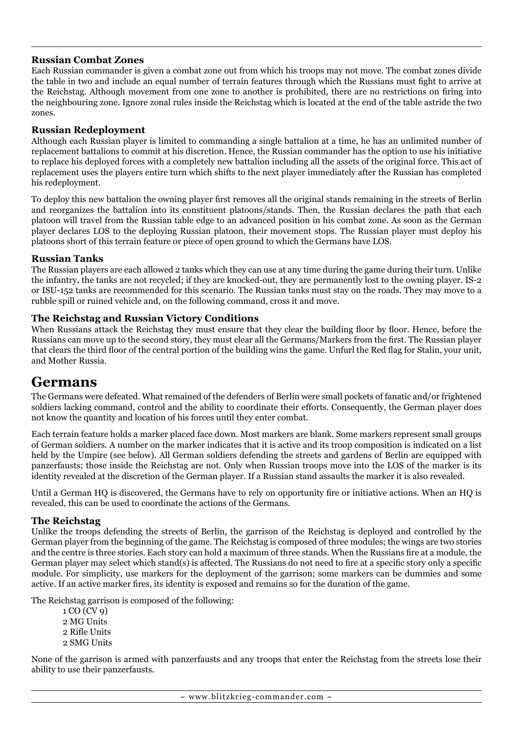#### **Russian Combat Zones**

Each Russian commander is given a combat zone out from which his troops may not move. The combat zones divide the table in two and include an equal number of terrain features through which the Russians must fight to arrive at the Reichstag. Although movement from one zone to another is prohibited, there are no restrictions on firing into the neighbouring zone. Ignore zonal rules inside the Reichstag which is located at the end of the table astride the two zones.

#### **Russian Redeployment**

Although each Russian player is limited to commanding a single battalion at a time, he has an unlimited number of replacement battalions to commit at his discretion. Hence, the Russian commander has the option to use his initiative to replace his deployed forces with a completely new battalion including all the assets of the original force. This act of replacement uses the players entire turn which shifts to the next player immediately after the Russian has completed his redeployment.

To deploy this new battalion the owning player first removes all the original stands remaining in the streets of Berlin and reorganizes the battalion into its constituent platoons/stands. Then, the Russian declares the path that each platoon will travel from the Russian table edge to an advanced position in his combat zone. As soon as the German player declares LOS to the deploying Russian platoon, their movement stops. The Russian player must deploy his platoons short of this terrain feature or piece of open ground to which the Germans have LOS.

#### **Russian Tanks**

The Russian players are each allowed 2 tanks which they can use at any time during the game during their turn. Unlike the infantry, the tanks are not recycled; if they are knocked-out, they are permanently lost to the owning player. IS-2 or ISU-152 tanks are recommended for this scenario. The Russian tanks must stay on the roads. They may move to a rubble spill or ruined vehicle and, on the following command, cross it and move.

#### **The Reichstag and Russian Victory Conditions**

When Russians attack the Reichstag they must ensure that they clear the building floor by floor. Hence, before the Russians can move up to the second story, they must clear all the Germans/Markers from the first. The Russian player that clears the third floor of the central portion of the building wins the game. Unfurl the Red flag for Stalin, your unit, and Mother Russia.

### **Germans**

The Germans were defeated. What remained of the defenders of Berlin were small pockets of fanatic and/or frightened soldiers lacking command, control and the ability to coordinate their efforts. Consequently, the German player does not know the quantity and location of his forces until they enter combat.

Each terrain feature holds a marker placed face down. Most markers are blank. Some markers represent small groups of German soldiers. A number on the marker indicates that it is active and its troop composition is indicated on a list held by the Umpire (see below). All German soldiers defending the streets and gardens of Berlin are equipped with panzerfausts; those inside the Reichstag are not. Only when Russian troops move into the LOS of the marker is its identity revealed at the discretion of the German player. If a Russian stand assaults the marker it is also revealed.

Until a German HQ is discovered, the Germans have to rely on opportunity fire or initiative actions. When an HQ is revealed, this can be used to coordinate the actions of the Germans.

#### **The Reichstag**

Unlike the troops defending the streets of Berlin, the garrison of the Reichstag is deployed and controlled by the German player from the beginning of the game. The Reichstag is composed of three modules; the wings are two stories and the centre is three stories. Each story can hold a maximum of three stands. When the Russians fire at a module, the German player may select which stand(s) is affected. The Russians do not need to fire at a specific story only a specific module. For simplicity, use markers for the deployment of the garrison; some markers can be dummies and some active. If an active marker fires, its identity is exposed and remains so for the duration of the game.

The Reichstag garrison is composed of the following:

1 CO (CV 9) 2 MG Units 2 Rifle Units 2 SMG Units

None of the garrison is armed with panzerfausts and any troops that enter the Reichstag from the streets lose their ability to use their panzerfausts.